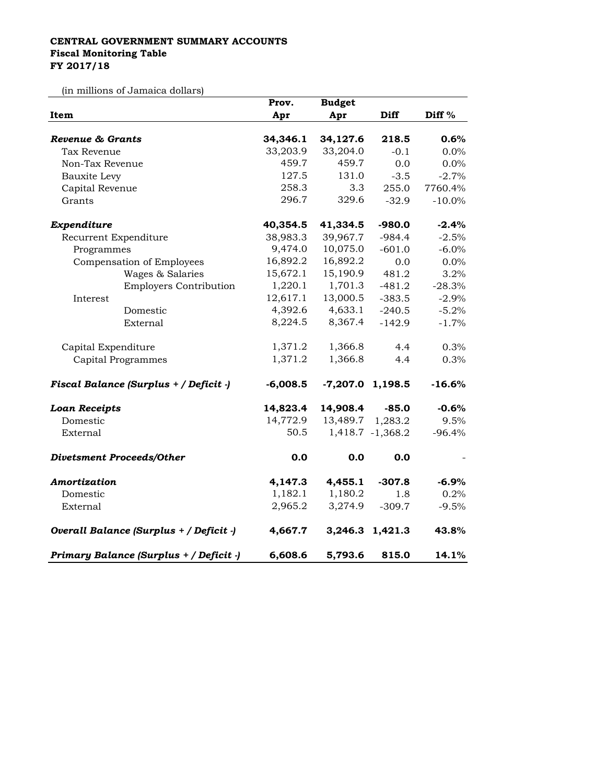## **CENTRAL GOVERNMENT SUMMARY ACCOUNTS Fiscal Monitoring Table FY 2017/18**

(in millions of Jamaica dollars)

|                                         | Prov.      | <b>Budget</b>    |                    |                   |
|-----------------------------------------|------------|------------------|--------------------|-------------------|
| Item                                    | Apr        | Apr              | <b>Diff</b>        | Diff <sup>%</sup> |
| Revenue & Grants                        | 34,346.1   | 34,127.6         | 218.5              | 0.6%              |
| Tax Revenue                             | 33,203.9   | 33,204.0         | $-0.1$             | 0.0%              |
| Non-Tax Revenue                         | 459.7      | 459.7            | 0.0                | 0.0%              |
| Bauxite Levy                            | 127.5      | 131.0            | $-3.5$             | $-2.7%$           |
| Capital Revenue                         | 258.3      | 3.3              | 255.0              | 7760.4%           |
| Grants                                  | 296.7      | 329.6            | $-32.9$            | $-10.0\%$         |
|                                         |            |                  |                    |                   |
| Expenditure                             | 40,354.5   | 41,334.5         | $-980.0$           | $-2.4%$           |
| Recurrent Expenditure                   | 38,983.3   | 39,967.7         | $-984.4$           | $-2.5%$           |
| Programmes                              | 9,474.0    | 10,075.0         | $-601.0$           | $-6.0%$           |
| Compensation of Employees               | 16,892.2   | 16,892.2         | 0.0                | 0.0%              |
| Wages & Salaries                        | 15,672.1   | 15,190.9         | 481.2              | 3.2%              |
| <b>Employers Contribution</b>           | 1,220.1    | 1,701.3          | $-481.2$           | $-28.3%$          |
| Interest                                | 12,617.1   | 13,000.5         | $-383.5$           | $-2.9%$           |
| Domestic                                | 4,392.6    | 4,633.1          | $-240.5$           | $-5.2%$           |
| External                                | 8,224.5    | 8,367.4          | $-142.9$           | $-1.7%$           |
| Capital Expenditure                     | 1,371.2    | 1,366.8          | 4.4                | 0.3%              |
| Capital Programmes                      | 1,371.2    | 1,366.8          | 4.4                | 0.3%              |
| Fiscal Balance (Surplus + / Deficit -)  | $-6,008.5$ |                  | $-7,207.0$ 1,198.5 | $-16.6%$          |
|                                         |            |                  |                    |                   |
| <b>Loan Receipts</b>                    | 14,823.4   | 14,908.4         | $-85.0$            | $-0.6%$           |
| Domestic                                | 14,772.9   | 13,489.7 1,283.2 |                    | 9.5%              |
| External                                | 50.5       |                  | 1,418.7 -1,368.2   | $-96.4%$          |
| <b>Divetsment Proceeds/Other</b>        | 0.0        | 0.0              | 0.0                |                   |
| Amortization                            | 4,147.3    | 4,455.1          | $-307.8$           | $-6.9%$           |
| Domestic                                | 1,182.1    | 1,180.2          | 1.8                | 0.2%              |
| External                                | 2,965.2    | 3,274.9          | $-309.7$           | $-9.5%$           |
| Overall Balance (Surplus + / Deficit -) | 4,667.7    |                  | 3,246.3 1,421.3    | 43.8%             |
| Primary Balance (Surplus + / Deficit -) | 6,608.6    | 5,793.6          | 815.0              | 14.1%             |